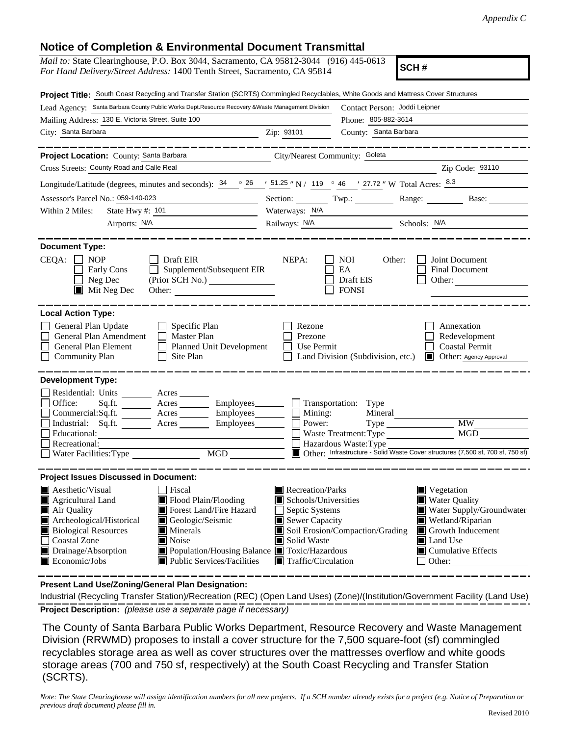## **Notice of Completion & Environmental Document Transmittal**

| <b>NUMBER OF COMPTEMON &amp; LITTLE INTERNATIONAL PROGRAMMENT</b>                                                                                                                                                                                                                                                                                                                                                                |                                                                                                                                                  |                                                                                                                                                                                                                      |  |
|----------------------------------------------------------------------------------------------------------------------------------------------------------------------------------------------------------------------------------------------------------------------------------------------------------------------------------------------------------------------------------------------------------------------------------|--------------------------------------------------------------------------------------------------------------------------------------------------|----------------------------------------------------------------------------------------------------------------------------------------------------------------------------------------------------------------------|--|
| <i>Mail to:</i> State Clearinghouse, P.O. Box 3044, Sacramento, CA 95812-3044 (916) 445-0613<br>SCH#<br>For Hand Delivery/Street Address: 1400 Tenth Street, Sacramento, CA 95814                                                                                                                                                                                                                                                |                                                                                                                                                  |                                                                                                                                                                                                                      |  |
| Project Title: South Coast Recycling and Transfer Station (SCRTS) Commingled Recyclables, White Goods and Mattress Cover Structures                                                                                                                                                                                                                                                                                              |                                                                                                                                                  |                                                                                                                                                                                                                      |  |
| Lead Agency: Santa Barbara County Public Works Dept. Resource Recovery & Waste Management Division                                                                                                                                                                                                                                                                                                                               |                                                                                                                                                  | Contact Person: Joddi Leipner                                                                                                                                                                                        |  |
| Mailing Address: 130 E. Victoria Street, Suite 100                                                                                                                                                                                                                                                                                                                                                                               |                                                                                                                                                  | Phone: 805-882-3614                                                                                                                                                                                                  |  |
| City: Santa Barbara<br>Zip: 93101                                                                                                                                                                                                                                                                                                                                                                                                |                                                                                                                                                  | County: Santa Barbara                                                                                                                                                                                                |  |
| --------------<br>Project Location: County: Santa Barbara                                                                                                                                                                                                                                                                                                                                                                        | City/Nearest Community: Goleta                                                                                                                   |                                                                                                                                                                                                                      |  |
| Cross Streets: County Road and Calle Real                                                                                                                                                                                                                                                                                                                                                                                        |                                                                                                                                                  | Zip Code: 93110                                                                                                                                                                                                      |  |
| Longitude/Latitude (degrees, minutes and seconds): $34 \degree$ $26 \degree$ $/$ 51.25 $\degree$ N $/$ 119 $\degree$ 46 $\degree$ 27.72 $\degree$ W Total Acres: $8.3$                                                                                                                                                                                                                                                           |                                                                                                                                                  |                                                                                                                                                                                                                      |  |
| Assessor's Parcel No.: 059-140-023                                                                                                                                                                                                                                                                                                                                                                                               |                                                                                                                                                  | Section: Twp.: Range: Base:                                                                                                                                                                                          |  |
| Waterways: N/A<br>Within 2 Miles:                                                                                                                                                                                                                                                                                                                                                                                                |                                                                                                                                                  |                                                                                                                                                                                                                      |  |
| Airports: N/A                                                                                                                                                                                                                                                                                                                                                                                                                    |                                                                                                                                                  | Railways: N/A Schools: N/A                                                                                                                                                                                           |  |
| <b>Document Type:</b>                                                                                                                                                                                                                                                                                                                                                                                                            |                                                                                                                                                  |                                                                                                                                                                                                                      |  |
| $CEQA: \Box NP$<br>Draft EIR<br>Supplement/Subsequent EIR<br>Early Cons<br>(Prior SCH No.) ________________<br>Neg Dec<br>$\blacksquare$ Mit Neg Dec<br>Other:                                                                                                                                                                                                                                                                   | NEPA:                                                                                                                                            | NOI<br>Other:<br>Joint Document<br>EA<br>Final Document<br>Draft EIS<br>Other:<br><b>FONSI</b>                                                                                                                       |  |
| <b>Local Action Type:</b>                                                                                                                                                                                                                                                                                                                                                                                                        |                                                                                                                                                  |                                                                                                                                                                                                                      |  |
| General Plan Update<br>$\Box$ Specific Plan<br>General Plan Amendment<br>$\Box$ Master Plan<br>Planned Unit Development<br>General Plan Element<br><b>Community Plan</b><br>Site Plan                                                                                                                                                                                                                                            | Rezone<br>Prezone<br>Use Permit                                                                                                                  | Annexation<br>Redevelopment<br><b>Coastal Permit</b><br>Land Division (Subdivision, etc.)<br>Other: Agency Approval                                                                                                  |  |
| <b>Development Type:</b>                                                                                                                                                                                                                                                                                                                                                                                                         |                                                                                                                                                  |                                                                                                                                                                                                                      |  |
| Residential: Units _________ Acres _______<br>Sq.ft. ________ Acres _________ Employees________ __ Transportation: Type _______<br>Office:<br>Commercial:Sq.ft. _______ Acres ________ Employees _______ __ Mining:<br>Industrial: Sq.ft. _______ Acres ________ Employees _______ $\square$<br>Educational:<br>Recreational:<br>Water Facilities: Type<br>MGD                                                                   | Power:                                                                                                                                           | Type MW<br>MGD<br>Hazardous Waste: Type<br>Other: Infrastructure - Solid Waste Cover structures (7,500 sf, 700 sf, 750 sf)                                                                                           |  |
| <b>Project Issues Discussed in Document:</b>                                                                                                                                                                                                                                                                                                                                                                                     |                                                                                                                                                  |                                                                                                                                                                                                                      |  |
| $\blacksquare$ Aesthetic/Visual<br>Fiscal<br>Agricultural Land<br>Flood Plain/Flooding<br>Forest Land/Fire Hazard<br>Air Quality<br>Geologic/Seismic<br>Archeological/Historical<br><b>Biological Resources</b><br>$\blacksquare$ Minerals<br><b>Coastal Zone</b><br>$\blacksquare$ Noise<br>Drainage/Absorption<br>■ Population/Housing Balance ■ Toxic/Hazardous<br>Economic/Jobs<br>$\blacksquare$ Public Services/Facilities | Recreation/Parks<br>$\blacksquare$ Schools/Universities<br>Septic Systems<br>Sewer Capacity<br>Solid Waste<br>$\blacksquare$ Traffic/Circulation | $\blacksquare$ Vegetation<br><b>Water Quality</b><br>Water Supply/Groundwater<br>Wetland/Riparian<br>Soil Erosion/Compaction/Grading<br>Growth Inducement<br>Land Use<br>$\blacksquare$ Cumulative Effects<br>Other: |  |

**Present Land Use/Zoning/General Plan Designation:**

**Project Description:** *(please use a separate page if necessary)* Industrial (Recycling Transfer Station)/Recreation (REC) (Open Land Uses) (Zone)/(Institution/Government Facility (Land Use)

 The County of Santa Barbara Public Works Department, Resource Recovery and Waste Management Division (RRWMD) proposes to install a cover structure for the 7,500 square-foot (sf) commingled recyclables storage area as well as cover structures over the mattresses overflow and white goods storage areas (700 and 750 sf, respectively) at the South Coast Recycling and Transfer Station (SCRTS).

*Note: The State Clearinghouse will assign identification numbers for all new projects. If a SCH number already exists for a project (e.g. Notice of Preparation or previous draft document) please fill in.*